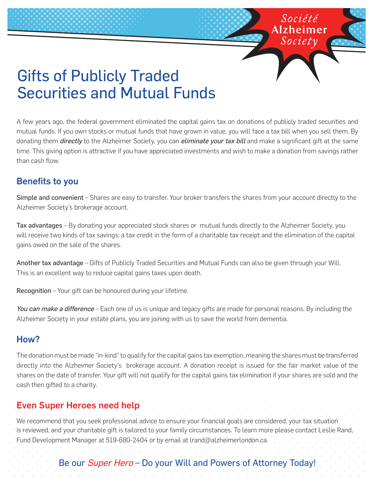# Gifts of Publicly Traded Securities and Mutual Funds

A few years ago, the federal government eliminated the capital gains tax on donations of publicly traded securities and mutual funds. If you own stocks or mutual funds that have grown in value, you will face a tax bill when you sell them. By donating them *directly* to the Alzheimer Society, you can *eliminate your tax bill* and make a significant gift at the same time. This giving option is attractive if you have appreciated investments and wish to make a donation from savings rather than cash flow.

Société Alzheimer

### Benefits to you

Simple and convenient – Shares are easy to transfer. Your broker transfers the shares from your account directly to the Alzheimer Society's brokerage account.

Tax advantages – By donating your appreciated stock shares or mutual funds directly to the Alzheimer Society, you will receive two kinds of tax savings: a tax credit in the form of a charitable tax receipt and the elimination of the capital gains owed on the sale of the shares.

Another tax advantage – Gifts of Publicly Traded Securities and Mutual Funds can also be given through your Will. This is an excellent way to reduce capital gains taxes upon death.

Recognition – Your gift can be honoured during your lifetime.

You can make a difference – Each one of us is unique and legacy gifts are made for personal reasons. By including the Alzheimer Society in your estate plans, you are joining with us to save the world from dementia.

#### How?

The donation must be made "in-kind" to qualify for the capital gains tax exemption, meaning the shares must be transferred directly into the Alzheimer Society's brokerage account. A donation receipt is issued for the fair market value of the shares on the date of transfer. Your gift will not qualify for the capital gains tax elimination if your shares are sold and the cash then gifted to a charity.

#### Even Super Heroes need help

We recommend that you seek professional advice to ensure your financial goals are considered, your tax situation is reviewed, and your charitable gift is tailored to your family circumstances. To learn more please contact Leslie Rand, Fund Development Manager at 519-680-2404 or by email at lrand@alzheimerlondon.ca.

## Be our Super Hero - Do your Will and Powers of Attorney Today!